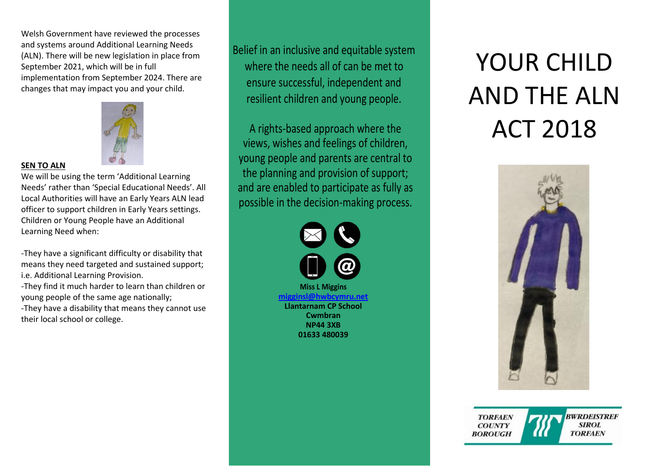Welsh Government have reviewed the processes and systems around Additional Learning Needs (ALN). There will be new legislation in place from September 2021, which will be in full implementation from September 2024. There are changes that may impact you and your child.



#### **SEN TO ALN**

We will be using the term 'Additional Learning Needs' rather than 'Special Educational Needs'. All Local Authorities will have an Early Years ALN lead officer to support children in Early Years settings. Children or Young People have an Additional Learning Need when:

-They have a significant difficulty or disability that means they need targeted and sustained support; i.e. Additional Learning Provision.

-They find it much harder to learn than children or young people of the same age nationally; -They have a disability that means they cannot use their local school or college.

Belief in an inclusive and equitable system where the needs all of can be met to ensure successful, independent and resilient children and young people.

A rights-based approach where the views, wishes and feelings of children, young people and parents are central to the planning and provision of support; and are enabled to participate as fully as possible in the decision-making process.



# YOUR CHILD AND THE ALN ACT 2018